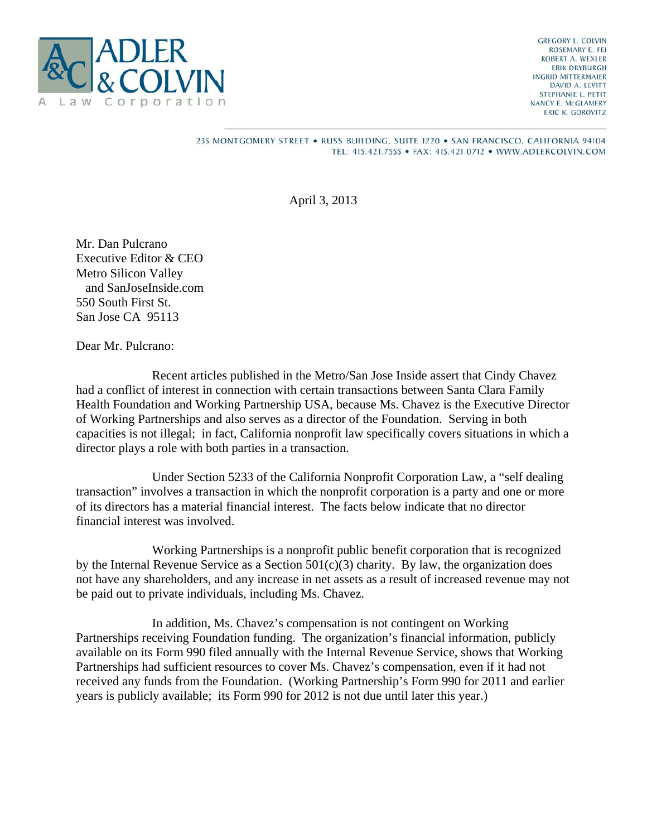

**GREGORY L. COLVIN** ROSEMARY E. FEI ROBERT A. WEXLER **ERIK DRYBURGH INGRID MITTERMAIER** DAVID A. LEVITT STEPHANIE L. PETIT NANCY E. McGLAMERY ERIC K. GOROVITZ

## 235 MONTGOMERY STREET . RUSS BUILDING, SUITE 1220 . SAN FRANCISCO, CALIFORNIA 94104 TEL: 415.421.7555 · FAX: 415.421.0712 · WWW.ADLERCOLVIN.COM

April 3, 2013

Mr. Dan Pulcrano Executive Editor & CEO Metro Silicon Valley and SanJoseInside.com 550 South First St. San Jose CA 95113

Dear Mr. Pulcrano:

 Recent articles published in the Metro/San Jose Inside assert that Cindy Chavez had a conflict of interest in connection with certain transactions between Santa Clara Family Health Foundation and Working Partnership USA, because Ms. Chavez is the Executive Director of Working Partnerships and also serves as a director of the Foundation. Serving in both capacities is not illegal; in fact, California nonprofit law specifically covers situations in which a director plays a role with both parties in a transaction.

 Under Section 5233 of the California Nonprofit Corporation Law, a "self dealing transaction" involves a transaction in which the nonprofit corporation is a party and one or more of its directors has a material financial interest. The facts below indicate that no director financial interest was involved.

 Working Partnerships is a nonprofit public benefit corporation that is recognized by the Internal Revenue Service as a Section  $501(c)(3)$  charity. By law, the organization does not have any shareholders, and any increase in net assets as a result of increased revenue may not be paid out to private individuals, including Ms. Chavez.

 In addition, Ms. Chavez's compensation is not contingent on Working Partnerships receiving Foundation funding. The organization's financial information, publicly available on its Form 990 filed annually with the Internal Revenue Service, shows that Working Partnerships had sufficient resources to cover Ms. Chavez's compensation, even if it had not received any funds from the Foundation. (Working Partnership's Form 990 for 2011 and earlier years is publicly available; its Form 990 for 2012 is not due until later this year.)